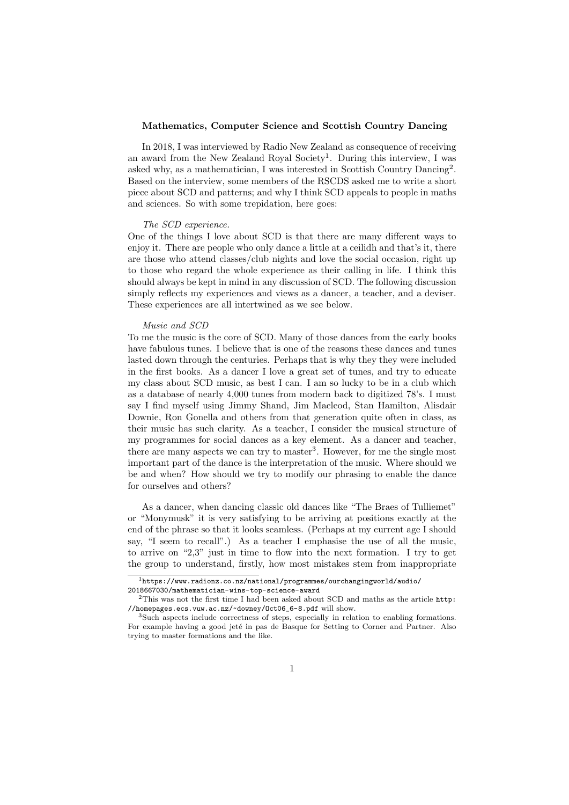## Mathematics, Computer Science and Scottish Country Dancing

In 2018, I was interviewed by Radio New Zealand as consequence of receiving an award from the New Zealand Royal Society<sup>1</sup>. During this interview, I was asked why, as a mathematician, I was interested in Scottish Country Dancing<sup>2</sup> . Based on the interview, some members of the RSCDS asked me to write a short piece about SCD and patterns; and why I think SCD appeals to people in maths and sciences. So with some trepidation, here goes:

## The SCD experience.

One of the things I love about SCD is that there are many different ways to enjoy it. There are people who only dance a little at a ceilidh and that's it, there are those who attend classes/club nights and love the social occasion, right up to those who regard the whole experience as their calling in life. I think this should always be kept in mind in any discussion of SCD. The following discussion simply reflects my experiences and views as a dancer, a teacher, and a deviser. These experiences are all intertwined as we see below.

#### Music and SCD

To me the music is the core of SCD. Many of those dances from the early books have fabulous tunes. I believe that is one of the reasons these dances and tunes lasted down through the centuries. Perhaps that is why they they were included in the first books. As a dancer I love a great set of tunes, and try to educate my class about SCD music, as best I can. I am so lucky to be in a club which as a database of nearly 4,000 tunes from modern back to digitized 78's. I must say I find myself using Jimmy Shand, Jim Macleod, Stan Hamilton, Alisdair Downie, Ron Gonella and others from that generation quite often in class, as their music has such clarity. As a teacher, I consider the musical structure of my programmes for social dances as a key element. As a dancer and teacher, there are many aspects we can try to master<sup>3</sup>. However, for me the single most important part of the dance is the interpretation of the music. Where should we be and when? How should we try to modify our phrasing to enable the dance for ourselves and others?

As a dancer, when dancing classic old dances like "The Braes of Tulliemet" or "Monymusk" it is very satisfying to be arriving at positions exactly at the end of the phrase so that it looks seamless. (Perhaps at my current age I should say, "I seem to recall".) As a teacher I emphasise the use of all the music, to arrive on "2,3" just in time to flow into the next formation. I try to get the group to understand, firstly, how most mistakes stem from inappropriate

<sup>1</sup>https://www.radionz.co.nz/national/programmes/ourchangingworld/audio/ 2018667030/mathematician-wins-top-science-award

<sup>&</sup>lt;sup>2</sup>This was not the first time I had been asked about SCD and maths as the article http: //homepages.ecs.vuw.ac.nz/~downey/Oct06\_6-8.pdf will show.

Such aspects include correctness of steps, especially in relation to enabling formations. For example having a good jeté in pas de Basque for Setting to Corner and Partner. Also trying to master formations and the like.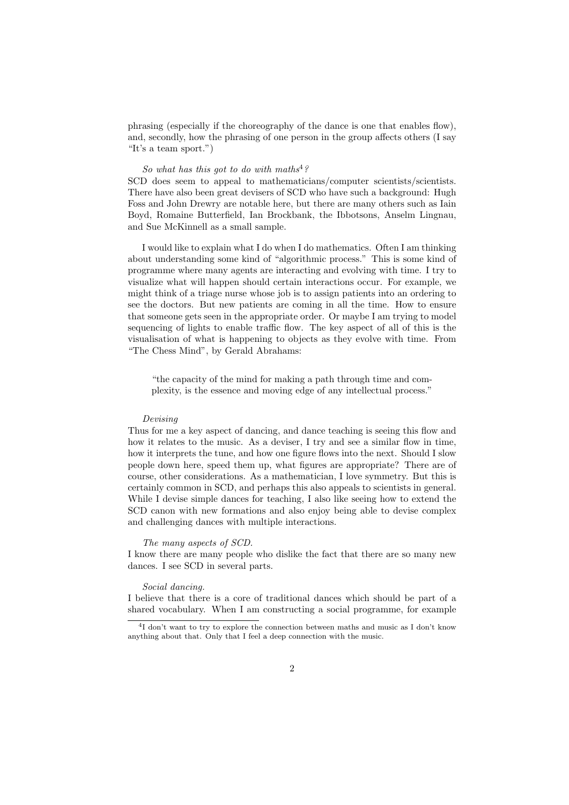phrasing (especially if the choreography of the dance is one that enables flow), and, secondly, how the phrasing of one person in the group affects others (I say "It's a team sport.")

# So what has this got to do with maths<sup>4</sup>?

SCD does seem to appeal to mathematicians/computer scientists/scientists. There have also been great devisers of SCD who have such a background: Hugh Foss and John Drewry are notable here, but there are many others such as Iain Boyd, Romaine Butterfield, Ian Brockbank, the Ibbotsons, Anselm Lingnau, and Sue McKinnell as a small sample.

I would like to explain what I do when I do mathematics. Often I am thinking about understanding some kind of "algorithmic process." This is some kind of programme where many agents are interacting and evolving with time. I try to visualize what will happen should certain interactions occur. For example, we might think of a triage nurse whose job is to assign patients into an ordering to see the doctors. But new patients are coming in all the time. How to ensure that someone gets seen in the appropriate order. Or maybe I am trying to model sequencing of lights to enable traffic flow. The key aspect of all of this is the visualisation of what is happening to objects as they evolve with time. From "The Chess Mind", by Gerald Abrahams:

"the capacity of the mind for making a path through time and complexity, is the essence and moving edge of any intellectual process."

## Devising

Thus for me a key aspect of dancing, and dance teaching is seeing this flow and how it relates to the music. As a deviser, I try and see a similar flow in time, how it interprets the tune, and how one figure flows into the next. Should I slow people down here, speed them up, what figures are appropriate? There are of course, other considerations. As a mathematician, I love symmetry. But this is certainly common in SCD, and perhaps this also appeals to scientists in general. While I devise simple dances for teaching, I also like seeing how to extend the SCD canon with new formations and also enjoy being able to devise complex and challenging dances with multiple interactions.

#### The many aspects of SCD.

I know there are many people who dislike the fact that there are so many new dances. I see SCD in several parts.

#### Social dancing.

I believe that there is a core of traditional dances which should be part of a shared vocabulary. When I am constructing a social programme, for example

<sup>&</sup>lt;sup>4</sup>I don't want to try to explore the connection between maths and music as I don't know anything about that. Only that I feel a deep connection with the music.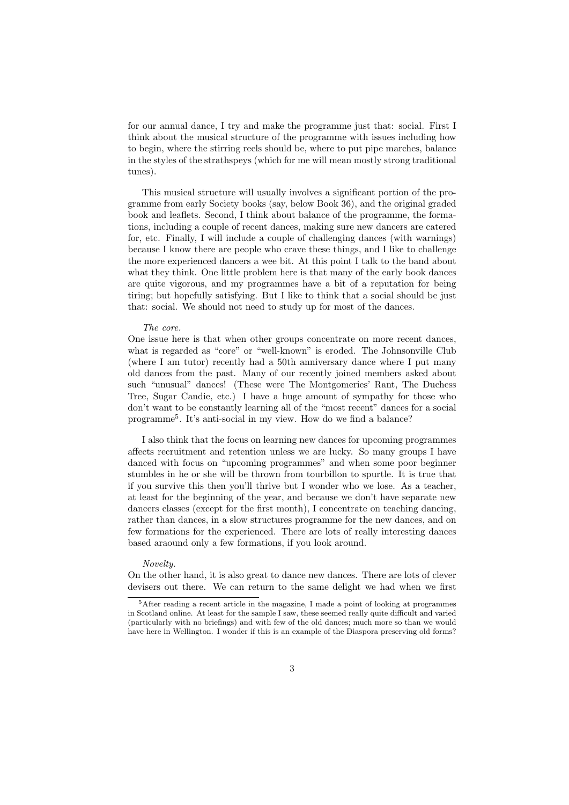for our annual dance, I try and make the programme just that: social. First I think about the musical structure of the programme with issues including how to begin, where the stirring reels should be, where to put pipe marches, balance in the styles of the strathspeys (which for me will mean mostly strong traditional tunes).

This musical structure will usually involves a significant portion of the programme from early Society books (say, below Book 36), and the original graded book and leaflets. Second, I think about balance of the programme, the formations, including a couple of recent dances, making sure new dancers are catered for, etc. Finally, I will include a couple of challenging dances (with warnings) because I know there are people who crave these things, and I like to challenge the more experienced dancers a wee bit. At this point I talk to the band about what they think. One little problem here is that many of the early book dances are quite vigorous, and my programmes have a bit of a reputation for being tiring; but hopefully satisfying. But I like to think that a social should be just that: social. We should not need to study up for most of the dances.

#### The core.

One issue here is that when other groups concentrate on more recent dances, what is regarded as "core" or "well-known" is eroded. The Johnsonville Club (where I am tutor) recently had a 50th anniversary dance where I put many old dances from the past. Many of our recently joined members asked about such "unusual" dances! (These were The Montgomeries' Rant, The Duchess Tree, Sugar Candie, etc.) I have a huge amount of sympathy for those who don't want to be constantly learning all of the "most recent" dances for a social programme<sup>5</sup> . It's anti-social in my view. How do we find a balance?

I also think that the focus on learning new dances for upcoming programmes affects recruitment and retention unless we are lucky. So many groups I have danced with focus on "upcoming programmes" and when some poor beginner stumbles in he or she will be thrown from tourbillon to spurtle. It is true that if you survive this then you'll thrive but I wonder who we lose. As a teacher, at least for the beginning of the year, and because we don't have separate new dancers classes (except for the first month), I concentrate on teaching dancing, rather than dances, in a slow structures programme for the new dances, and on few formations for the experienced. There are lots of really interesting dances based araound only a few formations, if you look around.

#### Novelty.

On the other hand, it is also great to dance new dances. There are lots of clever devisers out there. We can return to the same delight we had when we first

<sup>5</sup>After reading a recent article in the magazine, I made a point of looking at programmes in Scotland online. At least for the sample I saw, these seemed really quite difficult and varied (particularly with no briefings) and with few of the old dances; much more so than we would have here in Wellington. I wonder if this is an example of the Diaspora preserving old forms?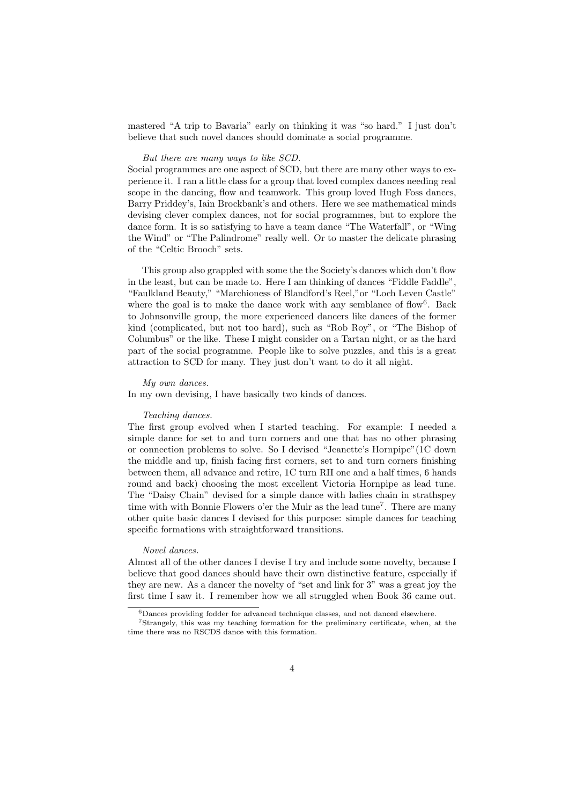mastered "A trip to Bavaria" early on thinking it was "so hard." I just don't believe that such novel dances should dominate a social programme.

## But there are many ways to like SCD.

Social programmes are one aspect of SCD, but there are many other ways to experience it. I ran a little class for a group that loved complex dances needing real scope in the dancing, flow and teamwork. This group loved Hugh Foss dances, Barry Priddey's, Iain Brockbank's and others. Here we see mathematical minds devising clever complex dances, not for social programmes, but to explore the dance form. It is so satisfying to have a team dance "The Waterfall", or "Wing the Wind" or "The Palindrome" really well. Or to master the delicate phrasing of the "Celtic Brooch" sets.

This group also grappled with some the the Society's dances which don't flow in the least, but can be made to. Here I am thinking of dances "Fiddle Faddle", "Faulkland Beauty," "Marchioness of Blandford's Reel,"or "Loch Leven Castle" where the goal is to make the dance work with any semblance of flow<sup>6</sup>. Back to Johnsonville group, the more experienced dancers like dances of the former kind (complicated, but not too hard), such as "Rob Roy", or "The Bishop of Columbus" or the like. These I might consider on a Tartan night, or as the hard part of the social programme. People like to solve puzzles, and this is a great attraction to SCD for many. They just don't want to do it all night.

## My own dances.

In my own devising, I have basically two kinds of dances.

## Teaching dances.

The first group evolved when I started teaching. For example: I needed a simple dance for set to and turn corners and one that has no other phrasing or connection problems to solve. So I devised "Jeanette's Hornpipe"(1C down the middle and up, finish facing first corners, set to and turn corners finishing between them, all advance and retire, 1C turn RH one and a half times, 6 hands round and back) choosing the most excellent Victoria Hornpipe as lead tune. The "Daisy Chain" devised for a simple dance with ladies chain in strathspey time with with Bonnie Flowers o'er the Muir as the lead tune<sup>7</sup>. There are many other quite basic dances I devised for this purpose: simple dances for teaching specific formations with straightforward transitions.

## Novel dances.

Almost all of the other dances I devise I try and include some novelty, because I believe that good dances should have their own distinctive feature, especially if they are new. As a dancer the novelty of "set and link for 3" was a great joy the first time I saw it. I remember how we all struggled when Book 36 came out.

<sup>6</sup>Dances providing fodder for advanced technique classes, and not danced elsewhere.

<sup>7</sup>Strangely, this was my teaching formation for the preliminary certificate, when, at the time there was no RSCDS dance with this formation.